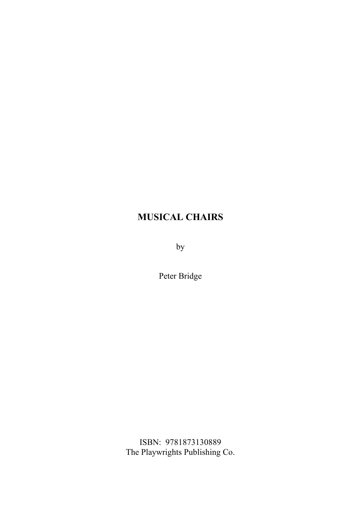by

Peter Bridge

ISBN: 9781873130889 The Playwrights Publishing Co.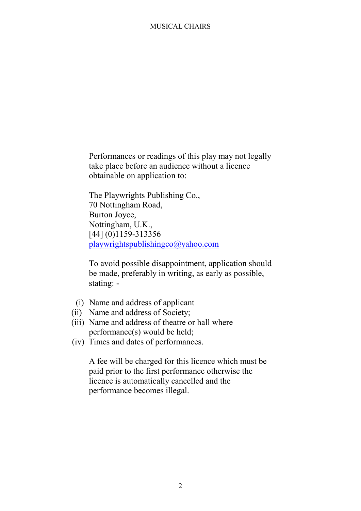Performances or readings of this play may not legally take place before an audience without a licence obtainable on application to:

The Playwrights Publishing Co., 70 Nottingham Road, Burton Joyce, Nottingham, U.K., [44] (0)1159-313356 playwrightspublishingco@yahoo.com

To avoid possible disappointment, application should be made, preferably in writing, as early as possible, stating: -

- (i) Name and address of applicant
- (ii) Name and address of Society;
- (iii) Name and address of theatre or hall where performance(s) would be held;
- (iv) Times and dates of performances.

A fee will be charged for this licence which must be paid prior to the first performance otherwise the licence is automatically cancelled and the performance becomes illegal.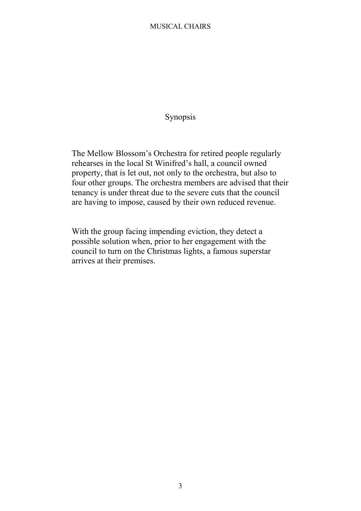# Synopsis

The Mellow Blossom's Orchestra for retired people regularly rehearses in the local St Winifred's hall, a council owned property, that is let out, not only to the orchestra, but also to four other groups. The orchestra members are advised that their tenancy is under threat due to the severe cuts that the council are having to impose, caused by their own reduced revenue.

With the group facing impending eviction, they detect a possible solution when, prior to her engagement with the council to turn on the Christmas lights, a famous superstar arrives at their premises.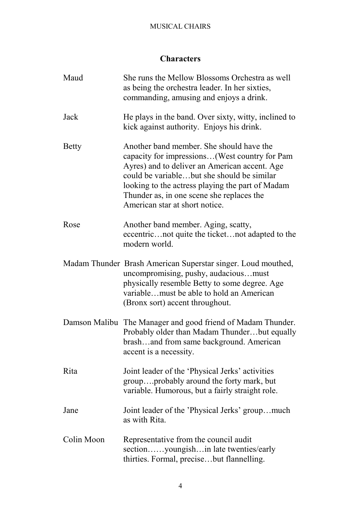# **Characters**

| Maud         | She runs the Mellow Blossoms Orchestra as well<br>as being the orchestra leader. In her sixties,<br>commanding, amusing and enjoys a drink.                                                                                                                                                                                 |
|--------------|-----------------------------------------------------------------------------------------------------------------------------------------------------------------------------------------------------------------------------------------------------------------------------------------------------------------------------|
| Jack         | He plays in the band. Over sixty, witty, inclined to<br>kick against authority. Enjoys his drink.                                                                                                                                                                                                                           |
| <b>Betty</b> | Another band member. She should have the<br>capacity for impressions(West country for Pam<br>Ayres) and to deliver an American accent. Age<br>could be variablebut she should be similar<br>looking to the actress playing the part of Madam<br>Thunder as, in one scene she replaces the<br>American star at short notice. |
| Rose         | Another band member. Aging, scatty,<br>eccentricnot quite the ticketnot adapted to the<br>modern world.                                                                                                                                                                                                                     |
|              | Madam Thunder Brash American Superstar singer. Loud mouthed,<br>uncompromising, pushy, audaciousmust<br>physically resemble Betty to some degree. Age<br>variablemust be able to hold an American<br>(Bronx sort) accent throughout.                                                                                        |
|              | Damson Malibu The Manager and good friend of Madam Thunder.<br>Probably older than Madam Thunderbut equally<br>brashand from same background. American<br>accent is a necessity.                                                                                                                                            |
| Rita         | Joint leader of the 'Physical Jerks' activities<br>groupprobably around the forty mark, but<br>variable. Humorous, but a fairly straight role.                                                                                                                                                                              |
| Jane         | Joint leader of the 'Physical Jerks' groupmuch<br>as with Rita.                                                                                                                                                                                                                                                             |
| Colin Moon   | Representative from the council audit<br>sectionyoungishin late twenties/early<br>thirties. Formal, precisebut flannelling.                                                                                                                                                                                                 |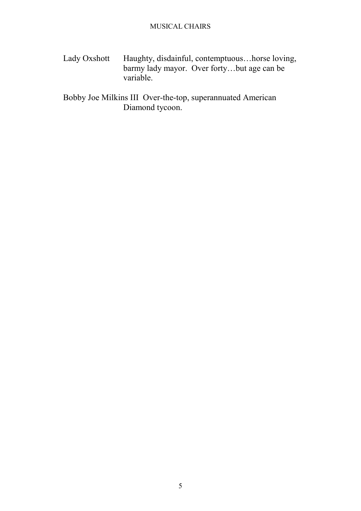Lady Oxshott Haughty, disdainful, contemptuous...horse loving, barmy lady mayor. Over forty…but age can be variable.

Bobby Joe Milkins III Over-the-top, superannuated American Diamond tycoon.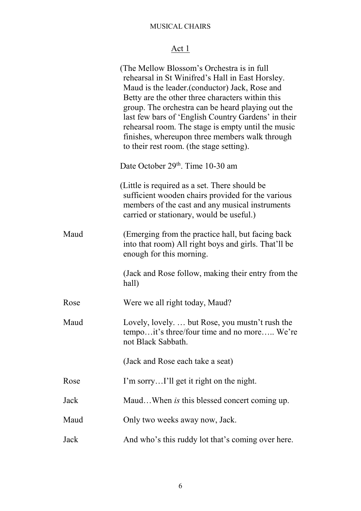# Act 1

|      | (The Mellow Blossom's Orchestra is in full<br>rehearsal in St Winifred's Hall in East Horsley.<br>Maud is the leader. (conductor) Jack, Rose and<br>Betty are the other three characters within this<br>group. The orchestra can be heard playing out the<br>last few bars of 'English Country Gardens' in their<br>rehearsal room. The stage is empty until the music<br>finishes, whereupon three members walk through<br>to their rest room. (the stage setting). |
|------|----------------------------------------------------------------------------------------------------------------------------------------------------------------------------------------------------------------------------------------------------------------------------------------------------------------------------------------------------------------------------------------------------------------------------------------------------------------------|
|      | Date October 29th. Time 10-30 am                                                                                                                                                                                                                                                                                                                                                                                                                                     |
|      | (Little is required as a set. There should be<br>sufficient wooden chairs provided for the various<br>members of the cast and any musical instruments<br>carried or stationary, would be useful.)                                                                                                                                                                                                                                                                    |
| Maud | (Emerging from the practice hall, but facing back)<br>into that room) All right boys and girls. That'll be<br>enough for this morning.                                                                                                                                                                                                                                                                                                                               |
|      | (Jack and Rose follow, making their entry from the<br>hall)                                                                                                                                                                                                                                                                                                                                                                                                          |
| Rose | Were we all right today, Maud?                                                                                                                                                                                                                                                                                                                                                                                                                                       |
| Maud | Lovely, lovely but Rose, you mustn't rush the<br>tempoit's three/four time and no more We're<br>not Black Sabbath.                                                                                                                                                                                                                                                                                                                                                   |
|      | (Jack and Rose each take a seat)                                                                                                                                                                                                                                                                                                                                                                                                                                     |
| Rose | I'm sorryI'll get it right on the night.                                                                                                                                                                                                                                                                                                                                                                                                                             |
| Jack | MaudWhen is this blessed concert coming up.                                                                                                                                                                                                                                                                                                                                                                                                                          |
| Maud | Only two weeks away now, Jack.                                                                                                                                                                                                                                                                                                                                                                                                                                       |
| Jack | And who's this ruddy lot that's coming over here.                                                                                                                                                                                                                                                                                                                                                                                                                    |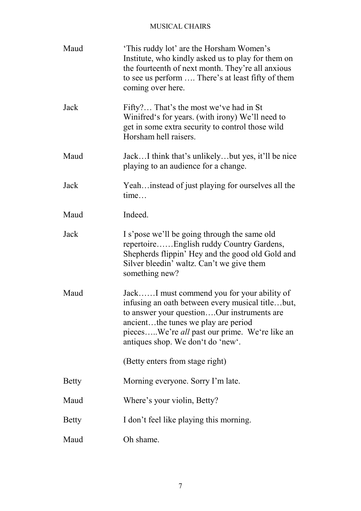| Maud         | This ruddy lot' are the Horsham Women's<br>Institute, who kindly asked us to play for them on<br>the fourteenth of next month. They're all anxious<br>to see us perform  There's at least fifty of them<br>coming over here.                                              |
|--------------|---------------------------------------------------------------------------------------------------------------------------------------------------------------------------------------------------------------------------------------------------------------------------|
| Jack         | Fifty? That's the most we've had in St<br>Winifred's for years. (with irony) We'll need to<br>get in some extra security to control those wild<br>Horsham hell raisers.                                                                                                   |
| Maud         | JackI think that's unlikelybut yes, it'll be nice<br>playing to an audience for a change.                                                                                                                                                                                 |
| Jack         | Yeah instead of just playing for ourselves all the<br>time                                                                                                                                                                                                                |
| Maud         | Indeed.                                                                                                                                                                                                                                                                   |
| Jack         | I s'pose we'll be going through the same old<br>repertoireEnglish ruddy Country Gardens,<br>Shepherds flippin' Hey and the good old Gold and<br>Silver bleedin' waltz. Can't we give them<br>something new?                                                               |
| Maud         | JackI must commend you for your ability of<br>infusing an oath between every musical titlebut,<br>to answer your questionOur instruments are<br>ancientthe tunes we play are period<br>piecesWe're all past our prime. We're like an<br>antiques shop. We don't do 'new'. |
|              | (Betty enters from stage right)                                                                                                                                                                                                                                           |
| Betty        | Morning everyone. Sorry I'm late.                                                                                                                                                                                                                                         |
| Maud         | Where's your violin, Betty?                                                                                                                                                                                                                                               |
| <b>Betty</b> | I don't feel like playing this morning.                                                                                                                                                                                                                                   |
| Maud         | Oh shame.                                                                                                                                                                                                                                                                 |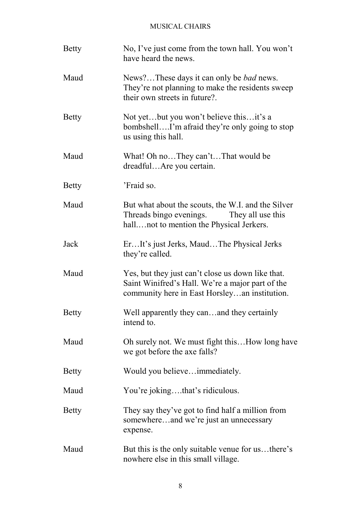| <b>Betty</b> | No, I've just come from the town hall. You won't<br>have heard the news.                                                                               |
|--------------|--------------------------------------------------------------------------------------------------------------------------------------------------------|
| Maud         | News?These days it can only be <i>bad</i> news.<br>They're not planning to make the residents sweep<br>their own streets in future?.                   |
| <b>Betty</b> | Not yetbut you won't believe thisit's a<br>bombshellI'm afraid they're only going to stop<br>us using this hall.                                       |
| Maud         | What! Oh noThey can'tThat would be<br>dreadfulAre you certain.                                                                                         |
| <b>Betty</b> | 'Fraid so.                                                                                                                                             |
| Maud         | But what about the scouts, the W.I. and the Silver<br>Threads bingo evenings.<br>They all use this<br>hallnot to mention the Physical Jerkers.         |
| Jack         | ErIt's just Jerks, MaudThe Physical Jerks<br>they're called.                                                                                           |
| Maud         | Yes, but they just can't close us down like that.<br>Saint Winifred's Hall. We're a major part of the<br>community here in East Horsleyan institution. |
| <b>Betty</b> | Well apparently they canand they certainly<br>intend to.                                                                                               |
| Maud         | Oh surely not. We must fight this How long have<br>we got before the axe falls?                                                                        |
| <b>Betty</b> | Would you believeimmediately.                                                                                                                          |
| Maud         | You're jokingthat's ridiculous.                                                                                                                        |
| <b>Betty</b> | They say they've got to find half a million from<br>somewhereand we're just an unnecessary<br>expense.                                                 |
| Maud         | But this is the only suitable venue for usthere's<br>nowhere else in this small village.                                                               |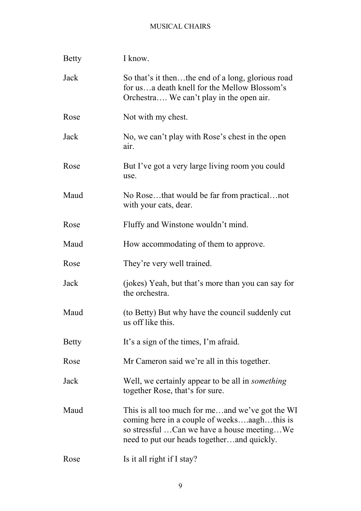| <b>Betty</b> | I know.                                                                                                                                                                                    |
|--------------|--------------------------------------------------------------------------------------------------------------------------------------------------------------------------------------------|
| Jack         | So that's it thenthe end of a long, glorious road<br>for usa death knell for the Mellow Blossom's<br>Orchestra We can't play in the open air.                                              |
| Rose         | Not with my chest.                                                                                                                                                                         |
| Jack         | No, we can't play with Rose's chest in the open<br>air.                                                                                                                                    |
| Rose         | But I've got a very large living room you could<br>use.                                                                                                                                    |
| Maud         | No Rosethat would be far from practicalnot<br>with your cats, dear.                                                                                                                        |
| Rose         | Fluffy and Winstone wouldn't mind.                                                                                                                                                         |
| Maud         | How accommodating of them to approve.                                                                                                                                                      |
| Rose         | They're very well trained.                                                                                                                                                                 |
| Jack         | (jokes) Yeah, but that's more than you can say for<br>the orchestra.                                                                                                                       |
| Maud         | (to Betty) But why have the council suddenly cut<br>us off like this.                                                                                                                      |
| <b>Betty</b> | It's a sign of the times, I'm afraid.                                                                                                                                                      |
| Rose         | Mr Cameron said we're all in this together.                                                                                                                                                |
| Jack         | Well, we certainly appear to be all in <i>something</i><br>together Rose, that's for sure.                                                                                                 |
| Maud         | This is all too much for meand we've got the WI<br>coming here in a couple of weeksaaghthis is<br>so stressful Can we have a house meetingWe<br>need to put our heads togetherand quickly. |
| Rose         | Is it all right if I stay?                                                                                                                                                                 |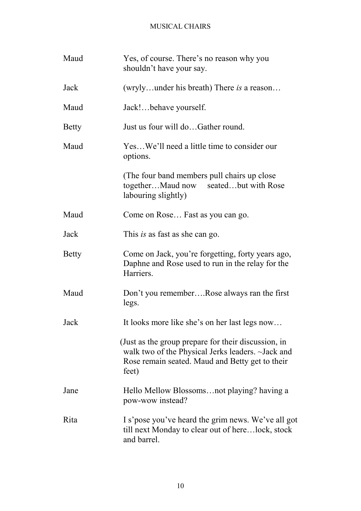| Maud         | Yes, of course. There's no reason why you<br>shouldn't have your say.                                                                                                |
|--------------|----------------------------------------------------------------------------------------------------------------------------------------------------------------------|
| Jack         | (wrylyunder his breath) There is a reason                                                                                                                            |
| Maud         | Jack!behave yourself.                                                                                                                                                |
| <b>Betty</b> | Just us four will doGather round.                                                                                                                                    |
| Maud         | YesWe'll need a little time to consider our<br>options.                                                                                                              |
|              | (The four band members pull chairs up close)<br>togetherMaud now seatedbut with Rose<br>labouring slightly)                                                          |
| Maud         | Come on Rose Fast as you can go.                                                                                                                                     |
| Jack         | This is as fast as she can go.                                                                                                                                       |
| <b>Betty</b> | Come on Jack, you're forgetting, forty years ago,<br>Daphne and Rose used to run in the relay for the<br>Harriers.                                                   |
| Maud         | Don't you rememberRose always ran the first<br>legs.                                                                                                                 |
| Jack         | It looks more like she's on her last legs now                                                                                                                        |
|              | (Just as the group prepare for their discussion, in<br>walk two of the Physical Jerks leaders. ~Jack and<br>Rose remain seated. Maud and Betty get to their<br>feet) |
| Jane         | Hello Mellow Blossomsnot playing? having a<br>pow-wow instead?                                                                                                       |
| Rita         | I s'pose you've heard the grim news. We've all got<br>till next Monday to clear out of herelock, stock<br>and barrel.                                                |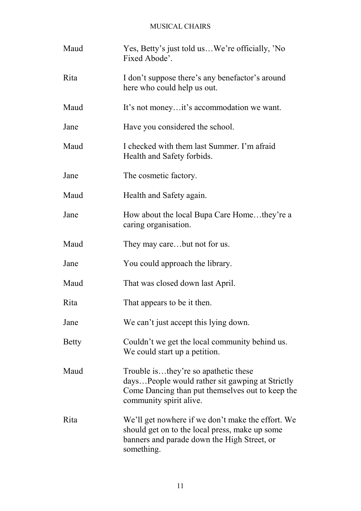| Maud         | Yes, Betty's just told usWe're officially, 'No<br>Fixed Abode'.                                                                                                        |
|--------------|------------------------------------------------------------------------------------------------------------------------------------------------------------------------|
| Rita         | I don't suppose there's any benefactor's around<br>here who could help us out.                                                                                         |
| Maud         | It's not moneyit's accommodation we want.                                                                                                                              |
| Jane         | Have you considered the school.                                                                                                                                        |
| Maud         | I checked with them last Summer. I'm afraid<br>Health and Safety forbids.                                                                                              |
| Jane         | The cosmetic factory.                                                                                                                                                  |
| Maud         | Health and Safety again.                                                                                                                                               |
| Jane         | How about the local Bupa Care Homethey're a<br>caring organisation.                                                                                                    |
| Maud         | They may carebut not for us.                                                                                                                                           |
| Jane         | You could approach the library.                                                                                                                                        |
| Maud         | That was closed down last April.                                                                                                                                       |
| Rita         | That appears to be it then.                                                                                                                                            |
| Jane         | We can't just accept this lying down.                                                                                                                                  |
| <b>Betty</b> | Couldn't we get the local community behind us.<br>We could start up a petition.                                                                                        |
| Maud         | Trouble isthey're so apathetic these<br>daysPeople would rather sit gawping at Strictly<br>Come Dancing than put themselves out to keep the<br>community spirit alive. |
| Rita         | We'll get nowhere if we don't make the effort. We<br>should get on to the local press, make up some<br>banners and parade down the High Street, or<br>something.       |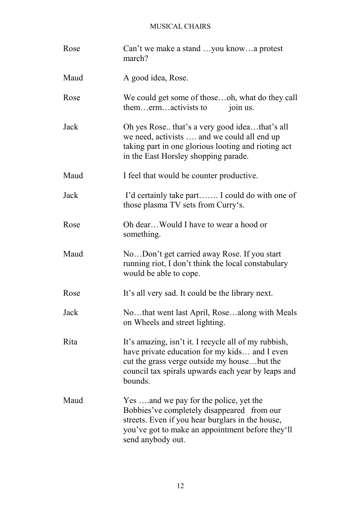| Rose | Can't we make a stand you knowa protest<br>march?                                                                                                                                                                     |
|------|-----------------------------------------------------------------------------------------------------------------------------------------------------------------------------------------------------------------------|
| Maud | A good idea, Rose.                                                                                                                                                                                                    |
| Rose | We could get some of thoseoh, what do they call<br>themermactivists to<br>join us.                                                                                                                                    |
| Jack | Oh yes Rose that's a very good ideathat's all<br>we need, activists  and we could all end up<br>taking part in one glorious looting and rioting act<br>in the East Horsley shopping parade.                           |
| Maud | I feel that would be counter productive.                                                                                                                                                                              |
| Jack | I'd certainly take part I could do with one of<br>those plasma TV sets from Curry's.                                                                                                                                  |
| Rose | Oh dearWould I have to wear a hood or<br>something.                                                                                                                                                                   |
| Maud | NoDon't get carried away Rose. If you start<br>running riot, I don't think the local constabulary<br>would be able to cope.                                                                                           |
| Rose | It's all very sad. It could be the library next.                                                                                                                                                                      |
| Jack | Nothat went last April, Rosealong with Meals<br>on Wheels and street lighting.                                                                                                                                        |
| Rita | It's amazing, isn't it. I recycle all of my rubbish,<br>have private education for my kids and I even<br>cut the grass verge outside my housebut the<br>council tax spirals upwards each year by leaps and<br>bounds. |
| Maud | Yes and we pay for the police, yet the<br>Bobbies've completely disappeared from our<br>streets. Even if you hear burglars in the house,<br>you've got to make an appointment before they'll<br>send anybody out.     |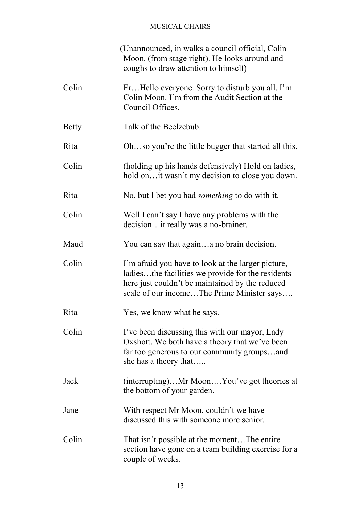|              | (Unannounced, in walks a council official, Colin<br>Moon. (from stage right). He looks around and<br>coughs to draw attention to himself)                                                                |
|--------------|----------------------------------------------------------------------------------------------------------------------------------------------------------------------------------------------------------|
| Colin        | ErHello everyone. Sorry to disturb you all. I'm<br>Colin Moon. I'm from the Audit Section at the<br>Council Offices.                                                                                     |
| <b>Betty</b> | Talk of the Beelzebub.                                                                                                                                                                                   |
| Rita         | Ohso you're the little bugger that started all this.                                                                                                                                                     |
| Colin        | (holding up his hands defensively) Hold on ladies,<br>hold on it wasn't my decision to close you down.                                                                                                   |
| Rita         | No, but I bet you had <i>something</i> to do with it.                                                                                                                                                    |
| Colin        | Well I can't say I have any problems with the<br>decisionit really was a no-brainer.                                                                                                                     |
| Maud         | You can say that againa no brain decision.                                                                                                                                                               |
| Colin        | I'm afraid you have to look at the larger picture,<br>ladiesthe facilities we provide for the residents<br>here just couldn't be maintained by the reduced<br>scale of our incomeThe Prime Minister says |
| Rita         | Yes, we know what he says.                                                                                                                                                                               |
| Colin        | I've been discussing this with our mayor, Lady<br>Oxshott. We both have a theory that we've been<br>far too generous to our community groupsand<br>she has a theory that                                 |
| Jack         | (interrupting)Mr MoonYou've got theories at<br>the bottom of your garden.                                                                                                                                |
| Jane         | With respect Mr Moon, couldn't we have<br>discussed this with someone more senior.                                                                                                                       |
| Colin        | That isn't possible at the momentThe entire<br>section have gone on a team building exercise for a<br>couple of weeks.                                                                                   |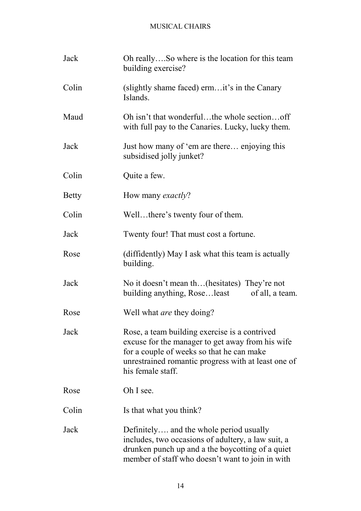| Jack         | Oh reallySo where is the location for this team<br>building exercise?                                                                                                                                                      |
|--------------|----------------------------------------------------------------------------------------------------------------------------------------------------------------------------------------------------------------------------|
| Colin        | (slightly shame faced) ermit's in the Canary<br>Islands.                                                                                                                                                                   |
| Maud         | Oh isn't that wonderfulthe whole sectionoff<br>with full pay to the Canaries. Lucky, lucky them.                                                                                                                           |
| Jack         | Just how many of 'em are there enjoying this<br>subsidised jolly junket?                                                                                                                                                   |
| Colin        | Quite a few.                                                                                                                                                                                                               |
| <b>Betty</b> | How many <i>exactly</i> ?                                                                                                                                                                                                  |
| Colin        | Wellthere's twenty four of them.                                                                                                                                                                                           |
| Jack         | Twenty four! That must cost a fortune.                                                                                                                                                                                     |
| Rose         | (diffidently) May I ask what this team is actually<br>building.                                                                                                                                                            |
| Jack         | No it doesn't mean th(hesitates) They're not<br>building anything, Roseleast of all, a team.                                                                                                                               |
| Rose         | Well what <i>are</i> they doing?                                                                                                                                                                                           |
| Jack         | Rose, a team building exercise is a contrived<br>excuse for the manager to get away from his wife<br>for a couple of weeks so that he can make<br>unrestrained romantic progress with at least one of<br>his female staff. |
| Rose         | Oh I see.                                                                                                                                                                                                                  |
| Colin        | Is that what you think?                                                                                                                                                                                                    |
| Jack         | Definitely and the whole period usually<br>includes, two occasions of adultery, a law suit, a<br>drunken punch up and a the boycotting of a quiet<br>member of staff who doesn't want to join in with                      |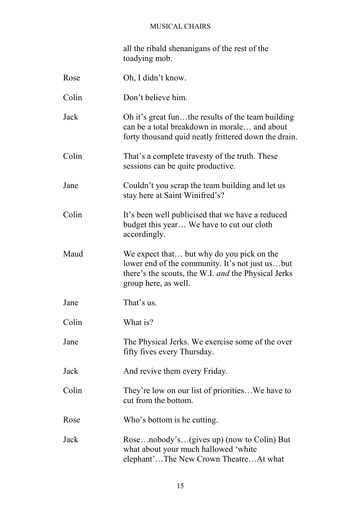all the ribald shenanigans of the rest of the toadying mob.

| Rose  | Oh, I didn't know.                                                                                                                                                          |
|-------|-----------------------------------------------------------------------------------------------------------------------------------------------------------------------------|
| Colin | Don't believe him.                                                                                                                                                          |
| Jack  | Oh it's great funthe results of the team building<br>can be a total breakdown in morale and about<br>forty thousand quid neatly frittered down the drain.                   |
| Colin | That's a complete travesty of the truth. These<br>sessions can be quite productive.                                                                                         |
| Jane  | Couldn't you scrap the team building and let us<br>stay here at Saint Winifred's?                                                                                           |
| Colin | It's been well publicised that we have a reduced<br>budget this year We have to cut our cloth<br>accordingly.                                                               |
| Maud  | We expect that but why do you pick on the<br>lower end of the community. It's not just usbut<br>there's the scouts, the W.I. and the Physical Jerks<br>group here, as well. |
| Jane  | That's us.                                                                                                                                                                  |
| Colin | What is?                                                                                                                                                                    |
| Jane  | The Physical Jerks. We exercise some of the over<br>fifty fives every Thursday.                                                                                             |
| Jack  | And revive them every Friday.                                                                                                                                               |
| Colin | They're low on our list of prioritiesWe have to<br>cut from the bottom.                                                                                                     |
| Rose  | Who's bottom is he cutting.                                                                                                                                                 |
| Jack  | Rosenobody's(gives up) (now to Colin) But<br>what about your much hallowed 'white<br>elephant'The New Crown TheatreAt what                                                  |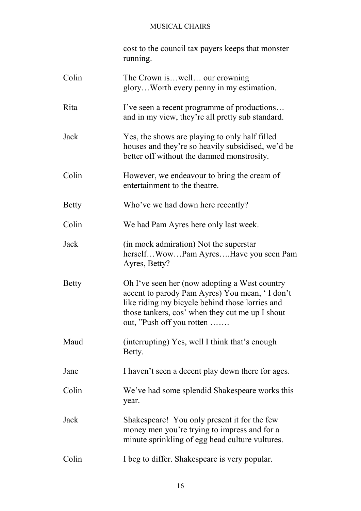cost to the council tax payers keeps that monster running.

| Colin        | The Crown iswell our crowning<br>gloryWorth every penny in my estimation.                                                                                                                                                          |
|--------------|------------------------------------------------------------------------------------------------------------------------------------------------------------------------------------------------------------------------------------|
| Rita         | I've seen a recent programme of productions<br>and in my view, they're all pretty sub standard.                                                                                                                                    |
| Jack         | Yes, the shows are playing to only half filled<br>houses and they're so heavily subsidised, we'd be<br>better off without the damned monstrosity.                                                                                  |
| Colin        | However, we endeavour to bring the cream of<br>entertainment to the theatre.                                                                                                                                                       |
| <b>Betty</b> | Who've we had down here recently?                                                                                                                                                                                                  |
| Colin        | We had Pam Ayres here only last week.                                                                                                                                                                                              |
| Jack         | (in mock admiration) Not the superstar<br>herselfWowPam AyresHave you seen Pam<br>Ayres, Betty?                                                                                                                                    |
| <b>Betty</b> | Oh I've seen her (now adopting a West country<br>accent to parody Pam Ayres) You mean, 'I don't<br>like riding my bicycle behind those lorries and<br>those tankers, cos' when they cut me up I shout<br>out, "Push off you rotten |
| Maud         | (interrupting) Yes, well I think that's enough<br>Betty.                                                                                                                                                                           |
| Jane         | I haven't seen a decent play down there for ages.                                                                                                                                                                                  |
| Colin        | We've had some splendid Shakespeare works this<br>year.                                                                                                                                                                            |
| Jack         | Shakespeare! You only present it for the few<br>money men you're trying to impress and for a<br>minute sprinkling of egg head culture vultures.                                                                                    |
| Colin        | I beg to differ. Shakespeare is very popular.                                                                                                                                                                                      |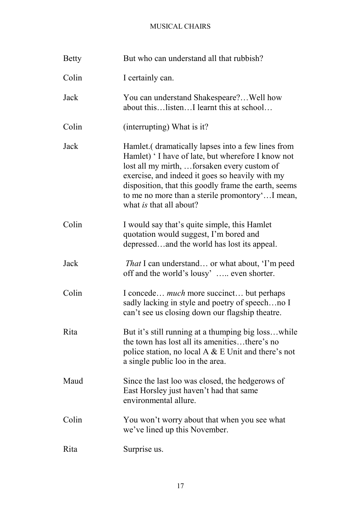| <b>Betty</b> | But who can understand all that rubbish?                                                                                                                                                                                                                                                                                                              |
|--------------|-------------------------------------------------------------------------------------------------------------------------------------------------------------------------------------------------------------------------------------------------------------------------------------------------------------------------------------------------------|
| Colin        | I certainly can.                                                                                                                                                                                                                                                                                                                                      |
| Jack         | You can understand Shakespeare? Well how<br>about thislistenI learnt this at school                                                                                                                                                                                                                                                                   |
| Colin        | (interrupting) What is it?                                                                                                                                                                                                                                                                                                                            |
| Jack         | Hamlet. (dramatically lapses into a few lines from<br>Hamlet) 'I have of late, but wherefore I know not<br>lost all my mirth, forsaken every custom of<br>exercise, and indeed it goes so heavily with my<br>disposition, that this goodly frame the earth, seems<br>to me no more than a sterile promontoryI mean,<br>what <i>is</i> that all about? |
| Colin        | I would say that's quite simple, this Hamlet<br>quotation would suggest, I'm bored and<br>depressedand the world has lost its appeal.                                                                                                                                                                                                                 |
| Jack         | <i>That</i> I can understand or what about, 'I'm peed<br>off and the world's lousy' even shorter.                                                                                                                                                                                                                                                     |
| Colin        | I concede <i>much</i> more succinct but perhaps<br>sadly lacking in style and poetry of speechno I<br>can't see us closing down our flagship theatre.                                                                                                                                                                                                 |
| Rita         | But it's still running at a thumping big losswhile<br>the town has lost all its amenitiesthere's no<br>police station, no local A $\&$ E Unit and there's not<br>a single public loo in the area.                                                                                                                                                     |
| Maud         | Since the last loo was closed, the hedgerows of<br>East Horsley just haven't had that same<br>environmental allure.                                                                                                                                                                                                                                   |
| Colin        | You won't worry about that when you see what<br>we've lined up this November.                                                                                                                                                                                                                                                                         |
| Rita         | Surprise us.                                                                                                                                                                                                                                                                                                                                          |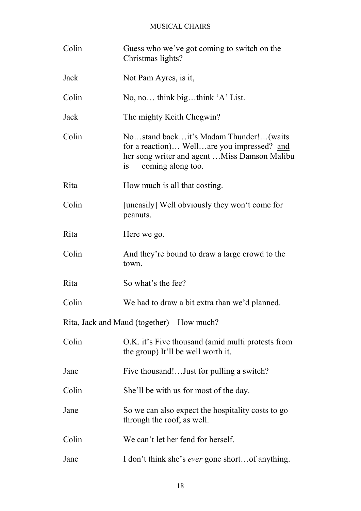| Colin                                    | Guess who we've got coming to switch on the<br>Christmas lights?                                                                                                |  |
|------------------------------------------|-----------------------------------------------------------------------------------------------------------------------------------------------------------------|--|
| Jack                                     | Not Pam Ayres, is it,                                                                                                                                           |  |
| Colin                                    | No, no think bigthink $A$ ' List.                                                                                                                               |  |
| Jack                                     | The mighty Keith Chegwin?                                                                                                                                       |  |
| Colin                                    | Nostand backit's Madam Thunder!(waits<br>for a reaction) Wellare you impressed? and<br>her song writer and agent  Miss Damson Malibu<br>coming along too.<br>1S |  |
| Rita                                     | How much is all that costing.                                                                                                                                   |  |
| Colin                                    | [uneasily] Well obviously they won't come for<br>peanuts.                                                                                                       |  |
| Rita                                     | Here we go.                                                                                                                                                     |  |
| Colin                                    | And they're bound to draw a large crowd to the<br>town.                                                                                                         |  |
| Rita                                     | So what's the fee?                                                                                                                                              |  |
| Colin                                    | We had to draw a bit extra than we'd planned.                                                                                                                   |  |
| Rita, Jack and Maud (together) How much? |                                                                                                                                                                 |  |
| Colin                                    | O.K. it's Five thousand (amid multi protests from<br>the group) It'll be well worth it.                                                                         |  |
| Jane                                     | Five thousand!Just for pulling a switch?                                                                                                                        |  |
| Colin                                    | She'll be with us for most of the day.                                                                                                                          |  |
| Jane                                     | So we can also expect the hospitality costs to go<br>through the roof, as well.                                                                                 |  |
| Colin                                    | We can't let her fend for herself.                                                                                                                              |  |
| Jane                                     | I don't think she's <i>ever</i> gone shortof anything.                                                                                                          |  |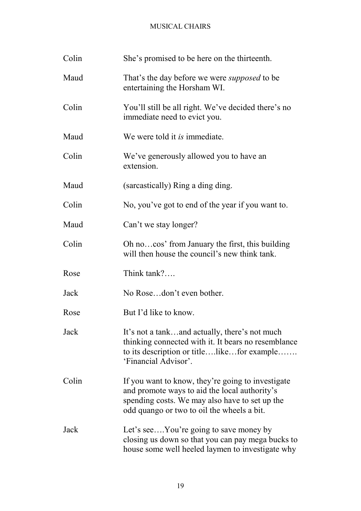| Colin | She's promised to be here on the thirteenth.                                                                                                                                                       |
|-------|----------------------------------------------------------------------------------------------------------------------------------------------------------------------------------------------------|
| Maud  | That's the day before we were <i>supposed</i> to be<br>entertaining the Horsham WI.                                                                                                                |
| Colin | You'll still be all right. We've decided there's no<br>immediate need to evict you.                                                                                                                |
| Maud  | We were told it <i>is</i> immediate.                                                                                                                                                               |
| Colin | We've generously allowed you to have an<br>extension.                                                                                                                                              |
| Maud  | (sarcastically) Ring a ding ding.                                                                                                                                                                  |
| Colin | No, you've got to end of the year if you want to.                                                                                                                                                  |
| Maud  | Can't we stay longer?                                                                                                                                                                              |
| Colin | Oh nocos' from January the first, this building<br>will then house the council's new think tank.                                                                                                   |
| Rose  | Think tank?                                                                                                                                                                                        |
| Jack  | No Rosedon't even bother.                                                                                                                                                                          |
| Rose  | But I'd like to know.                                                                                                                                                                              |
| Jack  | It's not a tankand actually, there's not much<br>thinking connected with it. It bears no resemblance<br>to its description or titlelikefor example<br>'Financial Advisor'.                         |
| Colin | If you want to know, they're going to investigate<br>and promote ways to aid the local authority's<br>spending costs. We may also have to set up the<br>odd quango or two to oil the wheels a bit. |
| Jack  | Let's seeYou're going to save money by<br>closing us down so that you can pay mega bucks to<br>house some well heeled laymen to investigate why                                                    |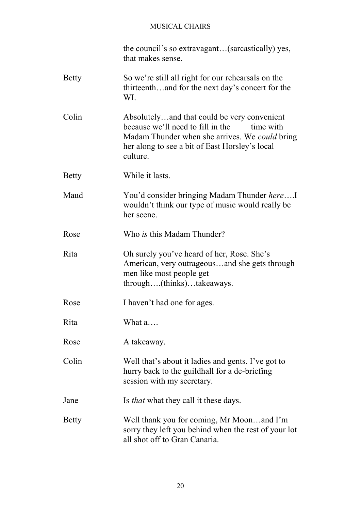the council's so extravagant…(sarcastically) yes, that makes sense.

- Betty So we're still all right for our rehearsals on the thirteenth…and for the next day's concert for the WI.
- Colin Absolutely…and that could be very convenient because we'll need to fill in the time with Madam Thunder when she arrives. We *could* bring her along to see a bit of East Horsley's local culture.
- Betty While it lasts.
- Maud You'd consider bringing Madam Thunder *here*….I wouldn't think our type of music would really be her scene.
- Rose Who *is* this Madam Thunder?
- Rita Oh surely you've heard of her, Rose. She's American, very outrageous…and she gets through men like most people get through….(thinks)…takeaways.
- Rose I haven't had one for ages.
- Rita What a….
- Rose A takeaway.
- Colin Well that's about it ladies and gents. I've got to hurry back to the guildhall for a de-briefing session with my secretary.
- Jane Is *that* what they call it these days.
- Betty Well thank you for coming, Mr Moon…and I'm sorry they left you behind when the rest of your lot all shot off to Gran Canaria.